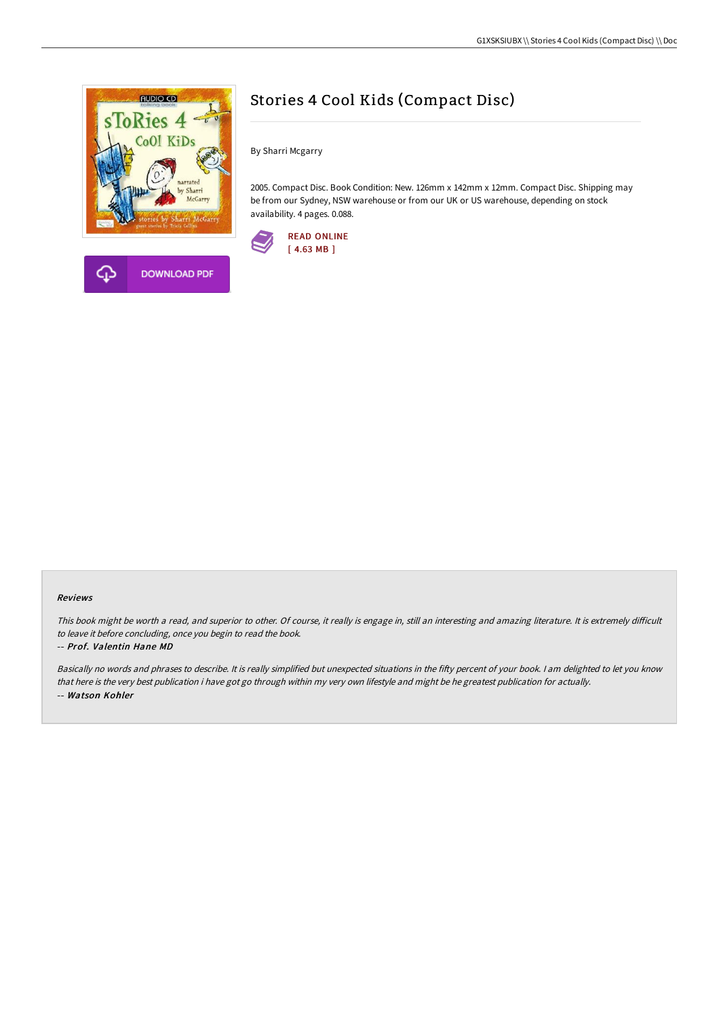

# Stories 4 Cool Kids (Compact Disc)

By Sharri Mcgarry

2005. Compact Disc. Book Condition: New. 126mm x 142mm x 12mm. Compact Disc. Shipping may be from our Sydney, NSW warehouse or from our UK or US warehouse, depending on stock availability. 4 pages. 0.088.



## Reviews

This book might be worth a read, and superior to other. Of course, it really is engage in, still an interesting and amazing literature. It is extremely difficult to leave it before concluding, once you begin to read the book.

#### -- Prof. Valentin Hane MD

Basically no words and phrases to describe. It is really simplified but unexpected situations in the fifty percent of your book. I am delighted to let you know that here is the very best publication i have got go through within my very own lifestyle and might be he greatest publication for actually. -- Watson Kohler